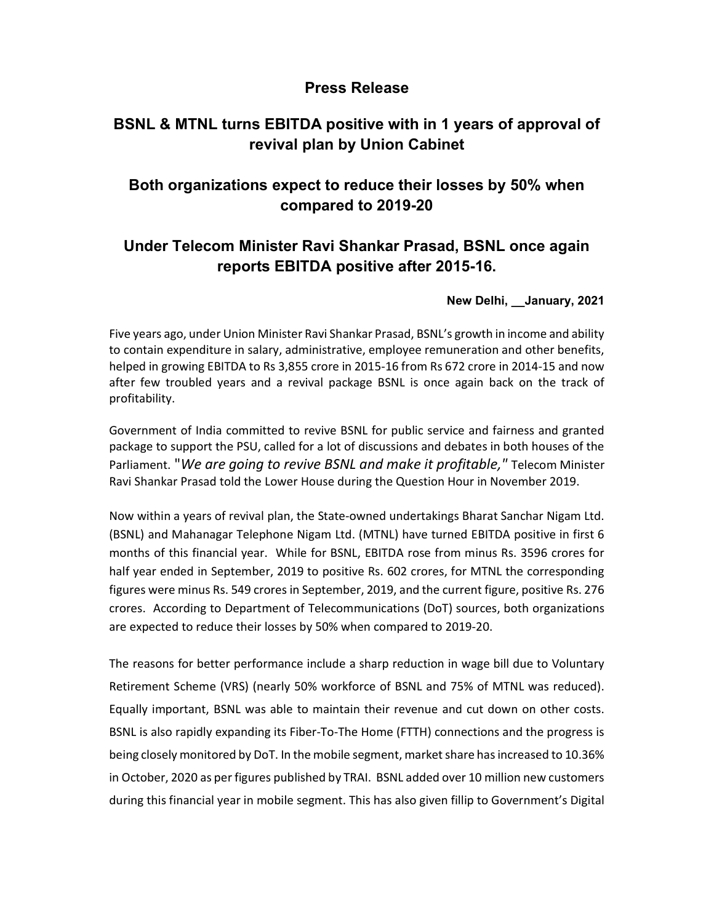### Press Release

# BSNL & MTNL turns EBITDA positive with in 1 years of approval of revival plan by Union Cabinet

# Both organizations expect to reduce their losses by 50% when compared to 2019-20

# Under Telecom Minister Ravi Shankar Prasad, BSNL once again reports EBITDA positive after 2015-16.

#### New Delhi, \_\_January, 2021

Five years ago, under Union Minister Ravi Shankar Prasad, BSNL's growth in income and ability to contain expenditure in salary, administrative, employee remuneration and other benefits, helped in growing EBITDA to Rs 3,855 crore in 2015-16 from Rs 672 crore in 2014-15 and now after few troubled years and a revival package BSNL is once again back on the track of profitability.

Government of India committed to revive BSNL for public service and fairness and granted package to support the PSU, called for a lot of discussions and debates in both houses of the Parliament. "We are going to revive BSNL and make it profitable," Telecom Minister Ravi Shankar Prasad told the Lower House during the Question Hour in November 2019.

Now within a years of revival plan, the State-owned undertakings Bharat Sanchar Nigam Ltd. (BSNL) and Mahanagar Telephone Nigam Ltd. (MTNL) have turned EBITDA positive in first 6 months of this financial year. While for BSNL, EBITDA rose from minus Rs. 3596 crores for half year ended in September, 2019 to positive Rs. 602 crores, for MTNL the corresponding figures were minus Rs. 549 crores in September, 2019, and the current figure, positive Rs. 276 crores. According to Department of Telecommunications (DoT) sources, both organizations are expected to reduce their losses by 50% when compared to 2019-20.

The reasons for better performance include a sharp reduction in wage bill due to Voluntary Retirement Scheme (VRS) (nearly 50% workforce of BSNL and 75% of MTNL was reduced). Equally important, BSNL was able to maintain their revenue and cut down on other costs. BSNL is also rapidly expanding its Fiber-To-The Home (FTTH) connections and the progress is being closely monitored by DoT. In the mobile segment, market share has increased to 10.36% in October, 2020 as per figures published by TRAI. BSNL added over 10 million new customers during this financial year in mobile segment. This has also given fillip to Government's Digital